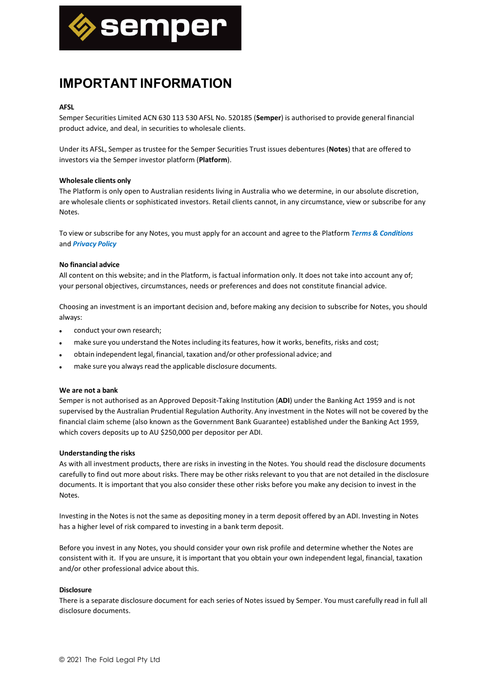

# **IMPORTANT INFORMATION**

## **AFSL**

Semper Securities Limited ACN 630 113 530 AFSL No. 520185 (**Semper**) is authorised to provide general financial product advice, and deal, in securities to wholesale clients.

Under its AFSL, Semper as trustee for the Semper Securities Trust issues debentures (**Notes**) that are offered to investors via the Semper investor platform (**Platform**).

### **Wholesale clients only**

The Platform is only open to Australian residents living in Australia who we determine, in our absolute discretion, are wholesale clients or sophisticated investors. Retail clients cannot, in any circumstance, view or subscribe for any Notes.

To view or subscribe for any Notes, you must apply for an account and agree to the Platform *Terms & Conditions* and *Privacy Policy*

#### **No financial advice**

All content on this website; and in the Platform, is factual information only. It does not take into account any of; your personal objectives, circumstances, needs or preferences and does not constitute financial advice.

Choosing an investment is an important decision and, before making any decision to subscribe for Notes, you should always:

- conduct your own research;
- make sure you understand the Notes including its features, how it works, benefits, risks and cost;
- obtain independent legal, financial, taxation and/or other professional advice; and
- make sure you always read the applicable disclosure documents.

### **We are not a bank**

Semper is not authorised as an Approved Deposit-Taking Institution (**ADI**) under the Banking Act 1959 and is not supervised by the Australian Prudential Regulation Authority. Any investment in the Notes will not be covered by the financial claim scheme (also known as the Government Bank Guarantee) established under the Banking Act 1959, which covers deposits up to AU \$250,000 per depositor per ADI.

### **Understanding the risks**

As with all investment products, there are risks in investing in the Notes. You should read the disclosure documents carefully to find out more about risks. There may be other risks relevant to you that are not detailed in the disclosure documents. It is important that you also consider these other risks before you make any decision to invest in the Notes.

Investing in the Notes is not the same as depositing money in a term deposit offered by an ADI. Investing in Notes has a higher level of risk compared to investing in a bank term deposit.

Before you invest in any Notes, you should consider your own risk profile and determine whether the Notes are consistent with it. If you are unsure, it is important that you obtain your own independent legal, financial, taxation and/or other professional advice about this.

### **Disclosure**

There is a separate disclosure document for each series of Notes issued by Semper. You must carefully read in full all disclosure documents.